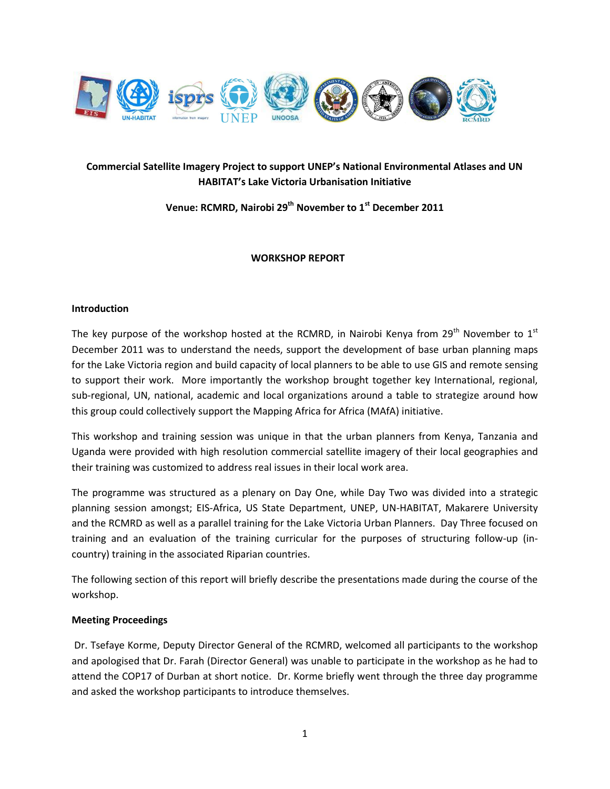

# **Commercial Satellite Imagery Project to support UNEP's National Environmental Atlases and UN HABITAT's Lake Victoria Urbanisation Initiative**

**Venue: RCMRD, Nairobi 29th November to 1st December 2011**

# **WORKSHOP REPORT**

#### **Introduction**

The key purpose of the workshop hosted at the RCMRD, in Nairobi Kenya from  $29^{th}$  November to  $1^{st}$ December 2011 was to understand the needs, support the development of base urban planning maps for the Lake Victoria region and build capacity of local planners to be able to use GIS and remote sensing to support their work. More importantly the workshop brought together key International, regional, sub-regional, UN, national, academic and local organizations around a table to strategize around how this group could collectively support the Mapping Africa for Africa (MAfA) initiative.

This workshop and training session was unique in that the urban planners from Kenya, Tanzania and Uganda were provided with high resolution commercial satellite imagery of their local geographies and their training was customized to address real issues in their local work area.

The programme was structured as a plenary on Day One, while Day Two was divided into a strategic planning session amongst; EIS-Africa, US State Department, UNEP, UN-HABITAT, Makarere University and the RCMRD as well as a parallel training for the Lake Victoria Urban Planners. Day Three focused on training and an evaluation of the training curricular for the purposes of structuring follow-up (incountry) training in the associated Riparian countries.

The following section of this report will briefly describe the presentations made during the course of the workshop.

## **Meeting Proceedings**

Dr. Tsefaye Korme, Deputy Director General of the RCMRD, welcomed all participants to the workshop and apologised that Dr. Farah (Director General) was unable to participate in the workshop as he had to attend the COP17 of Durban at short notice. Dr. Korme briefly went through the three day programme and asked the workshop participants to introduce themselves.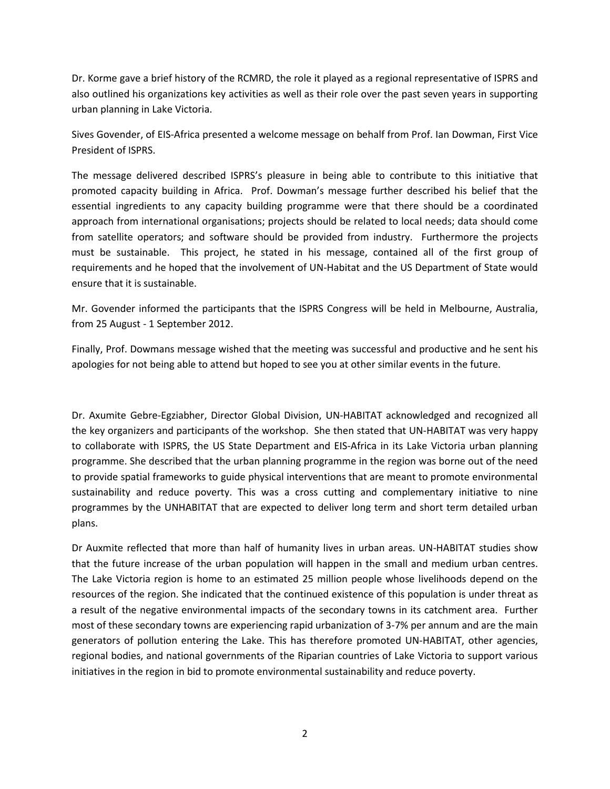Dr. Korme gave a brief history of the RCMRD, the role it played as a regional representative of ISPRS and also outlined his organizations key activities as well as their role over the past seven years in supporting urban planning in Lake Victoria.

Sives Govender, of EIS-Africa presented a welcome message on behalf from Prof. Ian Dowman, First Vice President of ISPRS.

The message delivered described ISPRS's pleasure in being able to contribute to this initiative that promoted capacity building in Africa. Prof. Dowman's message further described his belief that the essential ingredients to any capacity building programme were that there should be a coordinated approach from international organisations; projects should be related to local needs; data should come from satellite operators; and software should be provided from industry. Furthermore the projects must be sustainable. This project, he stated in his message, contained all of the first group of requirements and he hoped that the involvement of UN-Habitat and the US Department of State would ensure that it is sustainable.

Mr. Govender informed the participants that the ISPRS Congress will be held in Melbourne, Australia, from 25 August - 1 September 2012.

Finally, Prof. Dowmans message wished that the meeting was successful and productive and he sent his apologies for not being able to attend but hoped to see you at other similar events in the future.

Dr. Axumite Gebre-Egziabher, Director Global Division, UN-HABITAT acknowledged and recognized all the key organizers and participants of the workshop. She then stated that UN-HABITAT was very happy to collaborate with ISPRS, the US State Department and EIS-Africa in its Lake Victoria urban planning programme. She described that the urban planning programme in the region was borne out of the need to provide spatial frameworks to guide physical interventions that are meant to promote environmental sustainability and reduce poverty. This was a cross cutting and complementary initiative to nine programmes by the UNHABITAT that are expected to deliver long term and short term detailed urban plans.

Dr Auxmite reflected that more than half of humanity lives in urban areas. UN-HABITAT studies show that the future increase of the urban population will happen in the small and medium urban centres. The Lake Victoria region is home to an estimated 25 million people whose livelihoods depend on the resources of the region. She indicated that the continued existence of this population is under threat as a result of the negative environmental impacts of the secondary towns in its catchment area. Further most of these secondary towns are experiencing rapid urbanization of 3-7% per annum and are the main generators of pollution entering the Lake. This has therefore promoted UN-HABITAT, other agencies, regional bodies, and national governments of the Riparian countries of Lake Victoria to support various initiatives in the region in bid to promote environmental sustainability and reduce poverty.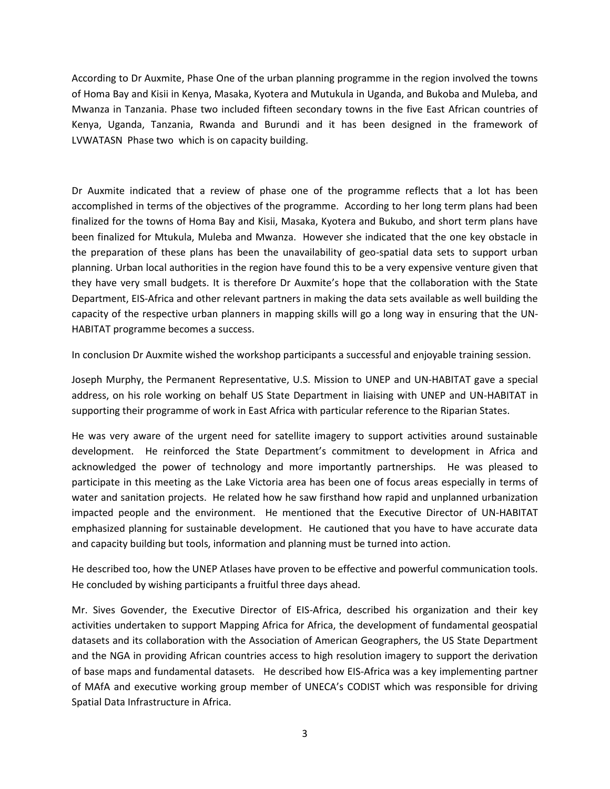According to Dr Auxmite, Phase One of the urban planning programme in the region involved the towns of Homa Bay and Kisii in Kenya, Masaka, Kyotera and Mutukula in Uganda, and Bukoba and Muleba, and Mwanza in Tanzania. Phase two included fifteen secondary towns in the five East African countries of Kenya, Uganda, Tanzania, Rwanda and Burundi and it has been designed in the framework of LVWATASN Phase two which is on capacity building.

Dr Auxmite indicated that a review of phase one of the programme reflects that a lot has been accomplished in terms of the objectives of the programme. According to her long term plans had been finalized for the towns of Homa Bay and Kisii, Masaka, Kyotera and Bukubo, and short term plans have been finalized for Mtukula, Muleba and Mwanza. However she indicated that the one key obstacle in the preparation of these plans has been the unavailability of geo-spatial data sets to support urban planning. Urban local authorities in the region have found this to be a very expensive venture given that they have very small budgets. It is therefore Dr Auxmite's hope that the collaboration with the State Department, EIS-Africa and other relevant partners in making the data sets available as well building the capacity of the respective urban planners in mapping skills will go a long way in ensuring that the UN-HABITAT programme becomes a success.

In conclusion Dr Auxmite wished the workshop participants a successful and enjoyable training session.

Joseph Murphy, the Permanent Representative, U.S. Mission to UNEP and UN-HABITAT gave a special address, on his role working on behalf US State Department in liaising with UNEP and UN-HABITAT in supporting their programme of work in East Africa with particular reference to the Riparian States.

He was very aware of the urgent need for satellite imagery to support activities around sustainable development. He reinforced the State Department's commitment to development in Africa and acknowledged the power of technology and more importantly partnerships. He was pleased to participate in this meeting as the Lake Victoria area has been one of focus areas especially in terms of water and sanitation projects. He related how he saw firsthand how rapid and unplanned urbanization impacted people and the environment. He mentioned that the Executive Director of UN-HABITAT emphasized planning for sustainable development. He cautioned that you have to have accurate data and capacity building but tools, information and planning must be turned into action.

He described too, how the UNEP Atlases have proven to be effective and powerful communication tools. He concluded by wishing participants a fruitful three days ahead.

Mr. Sives Govender, the Executive Director of EIS-Africa, described his organization and their key activities undertaken to support Mapping Africa for Africa, the development of fundamental geospatial datasets and its collaboration with the Association of American Geographers, the US State Department and the NGA in providing African countries access to high resolution imagery to support the derivation of base maps and fundamental datasets. He described how EIS-Africa was a key implementing partner of MAfA and executive working group member of UNECA's CODIST which was responsible for driving Spatial Data Infrastructure in Africa.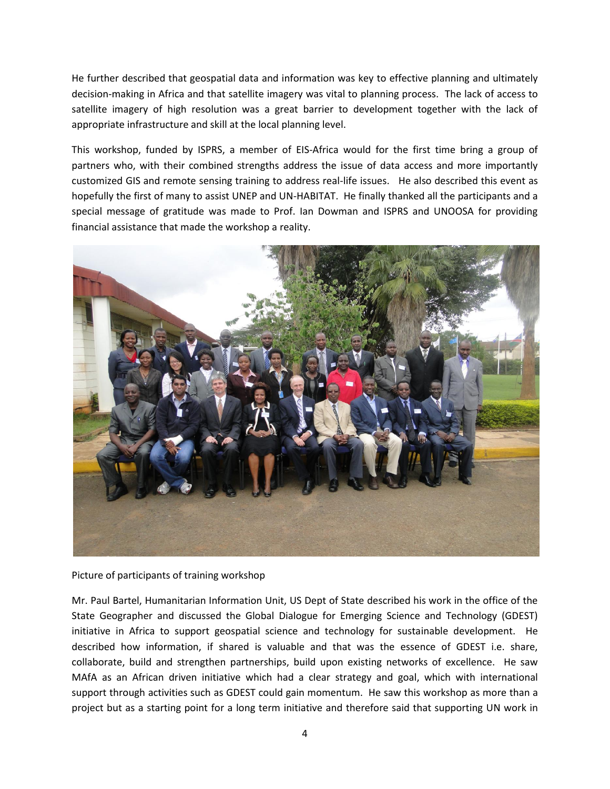He further described that geospatial data and information was key to effective planning and ultimately decision-making in Africa and that satellite imagery was vital to planning process. The lack of access to satellite imagery of high resolution was a great barrier to development together with the lack of appropriate infrastructure and skill at the local planning level.

This workshop, funded by ISPRS, a member of EIS-Africa would for the first time bring a group of partners who, with their combined strengths address the issue of data access and more importantly customized GIS and remote sensing training to address real-life issues. He also described this event as hopefully the first of many to assist UNEP and UN-HABITAT. He finally thanked all the participants and a special message of gratitude was made to Prof. Ian Dowman and ISPRS and UNOOSA for providing financial assistance that made the workshop a reality.



Picture of participants of training workshop

Mr. Paul Bartel, Humanitarian Information Unit, US Dept of State described his work in the office of the State Geographer and discussed the Global Dialogue for Emerging Science and Technology (GDEST) initiative in Africa to support geospatial science and technology for sustainable development. He described how information, if shared is valuable and that was the essence of GDEST i.e. share, collaborate, build and strengthen partnerships, build upon existing networks of excellence. He saw MAfA as an African driven initiative which had a clear strategy and goal, which with international support through activities such as GDEST could gain momentum. He saw this workshop as more than a project but as a starting point for a long term initiative and therefore said that supporting UN work in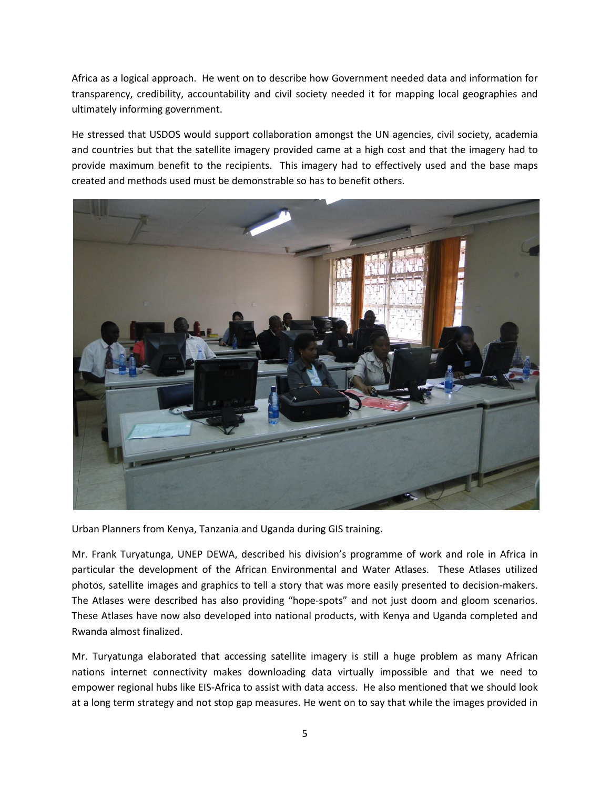Africa as a logical approach. He went on to describe how Government needed data and information for transparency, credibility, accountability and civil society needed it for mapping local geographies and ultimately informing government.

He stressed that USDOS would support collaboration amongst the UN agencies, civil society, academia and countries but that the satellite imagery provided came at a high cost and that the imagery had to provide maximum benefit to the recipients. This imagery had to effectively used and the base maps created and methods used must be demonstrable so has to benefit others.



Urban Planners from Kenya, Tanzania and Uganda during GIS training.

Mr. Frank Turyatunga, UNEP DEWA, described his division's programme of work and role in Africa in particular the development of the African Environmental and Water Atlases. These Atlases utilized photos, satellite images and graphics to tell a story that was more easily presented to decision-makers. The Atlases were described has also providing "hope-spots" and not just doom and gloom scenarios. These Atlases have now also developed into national products, with Kenya and Uganda completed and Rwanda almost finalized.

Mr. Turyatunga elaborated that accessing satellite imagery is still a huge problem as many African nations internet connectivity makes downloading data virtually impossible and that we need to empower regional hubs like EIS-Africa to assist with data access. He also mentioned that we should look at a long term strategy and not stop gap measures. He went on to say that while the images provided in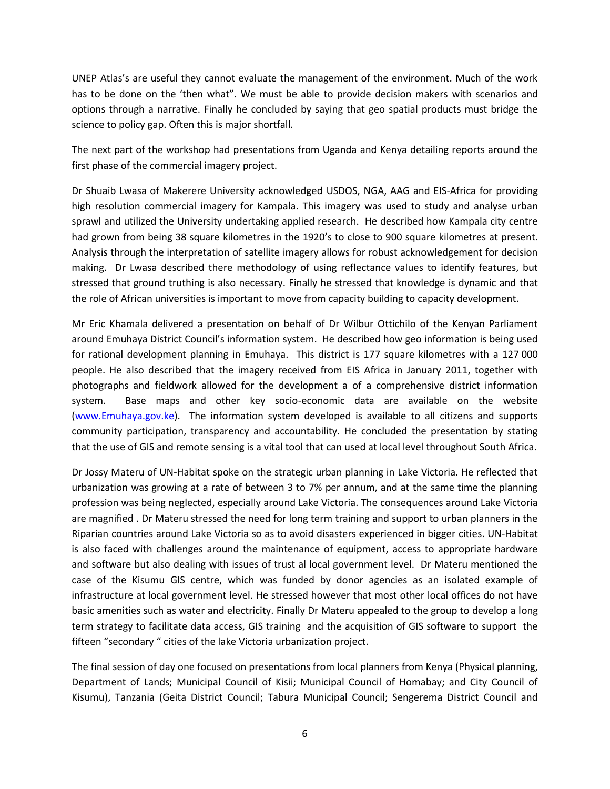UNEP Atlas's are useful they cannot evaluate the management of the environment. Much of the work has to be done on the 'then what". We must be able to provide decision makers with scenarios and options through a narrative. Finally he concluded by saying that geo spatial products must bridge the science to policy gap. Often this is major shortfall.

The next part of the workshop had presentations from Uganda and Kenya detailing reports around the first phase of the commercial imagery project.

Dr Shuaib Lwasa of Makerere University acknowledged USDOS, NGA, AAG and EIS-Africa for providing high resolution commercial imagery for Kampala. This imagery was used to study and analyse urban sprawl and utilized the University undertaking applied research. He described how Kampala city centre had grown from being 38 square kilometres in the 1920's to close to 900 square kilometres at present. Analysis through the interpretation of satellite imagery allows for robust acknowledgement for decision making. Dr Lwasa described there methodology of using reflectance values to identify features, but stressed that ground truthing is also necessary. Finally he stressed that knowledge is dynamic and that the role of African universities is important to move from capacity building to capacity development.

Mr Eric Khamala delivered a presentation on behalf of Dr Wilbur Ottichilo of the Kenyan Parliament around Emuhaya District Council's information system. He described how geo information is being used for rational development planning in Emuhaya. This district is 177 square kilometres with a 127 000 people. He also described that the imagery received from EIS Africa in January 2011, together with photographs and fieldwork allowed for the development a of a comprehensive district information system. Base maps and other key socio-economic data are available on the website [\(www.Emuhaya.gov.ke\)](http://www.emuhaya.gov.ke/). The information system developed is available to all citizens and supports community participation, transparency and accountability. He concluded the presentation by stating that the use of GIS and remote sensing is a vital tool that can used at local level throughout South Africa.

Dr Jossy Materu of UN-Habitat spoke on the strategic urban planning in Lake Victoria. He reflected that urbanization was growing at a rate of between 3 to 7% per annum, and at the same time the planning profession was being neglected, especially around Lake Victoria. The consequences around Lake Victoria are magnified . Dr Materu stressed the need for long term training and support to urban planners in the Riparian countries around Lake Victoria so as to avoid disasters experienced in bigger cities. UN-Habitat is also faced with challenges around the maintenance of equipment, access to appropriate hardware and software but also dealing with issues of trust al local government level. Dr Materu mentioned the case of the Kisumu GIS centre, which was funded by donor agencies as an isolated example of infrastructure at local government level. He stressed however that most other local offices do not have basic amenities such as water and electricity. Finally Dr Materu appealed to the group to develop a long term strategy to facilitate data access, GIS training and the acquisition of GIS software to support the fifteen "secondary " cities of the lake Victoria urbanization project.

The final session of day one focused on presentations from local planners from Kenya (Physical planning, Department of Lands; Municipal Council of Kisii; Municipal Council of Homabay; and City Council of Kisumu), Tanzania (Geita District Council; Tabura Municipal Council; Sengerema District Council and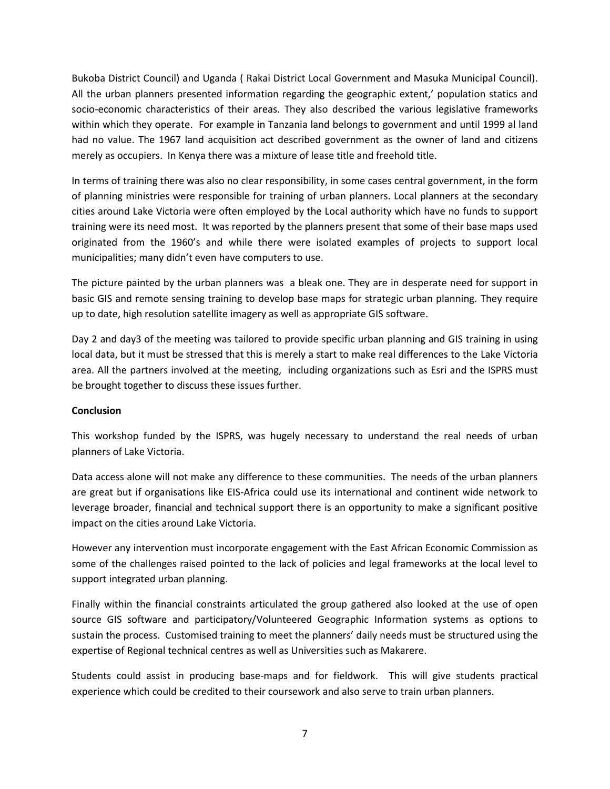Bukoba District Council) and Uganda ( Rakai District Local Government and Masuka Municipal Council). All the urban planners presented information regarding the geographic extent,' population statics and socio-economic characteristics of their areas. They also described the various legislative frameworks within which they operate. For example in Tanzania land belongs to government and until 1999 al land had no value. The 1967 land acquisition act described government as the owner of land and citizens merely as occupiers. In Kenya there was a mixture of lease title and freehold title.

In terms of training there was also no clear responsibility, in some cases central government, in the form of planning ministries were responsible for training of urban planners. Local planners at the secondary cities around Lake Victoria were often employed by the Local authority which have no funds to support training were its need most. It was reported by the planners present that some of their base maps used originated from the 1960's and while there were isolated examples of projects to support local municipalities; many didn't even have computers to use.

The picture painted by the urban planners was a bleak one. They are in desperate need for support in basic GIS and remote sensing training to develop base maps for strategic urban planning. They require up to date, high resolution satellite imagery as well as appropriate GIS software.

Day 2 and day3 of the meeting was tailored to provide specific urban planning and GIS training in using local data, but it must be stressed that this is merely a start to make real differences to the Lake Victoria area. All the partners involved at the meeting, including organizations such as Esri and the ISPRS must be brought together to discuss these issues further.

## **Conclusion**

This workshop funded by the ISPRS, was hugely necessary to understand the real needs of urban planners of Lake Victoria.

Data access alone will not make any difference to these communities. The needs of the urban planners are great but if organisations like EIS-Africa could use its international and continent wide network to leverage broader, financial and technical support there is an opportunity to make a significant positive impact on the cities around Lake Victoria.

However any intervention must incorporate engagement with the East African Economic Commission as some of the challenges raised pointed to the lack of policies and legal frameworks at the local level to support integrated urban planning.

Finally within the financial constraints articulated the group gathered also looked at the use of open source GIS software and participatory/Volunteered Geographic Information systems as options to sustain the process. Customised training to meet the planners' daily needs must be structured using the expertise of Regional technical centres as well as Universities such as Makarere.

Students could assist in producing base-maps and for fieldwork. This will give students practical experience which could be credited to their coursework and also serve to train urban planners.